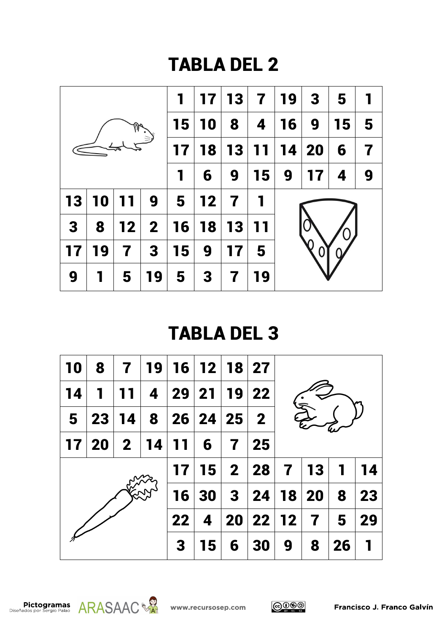

| <b>10</b>      | 8           | $\mathbf 7$ | 19   | 16 12 18 27           |           |   |                                    |   |                |              |    |  |  |
|----------------|-------------|-------------|------|-----------------------|-----------|---|------------------------------------|---|----------------|--------------|----|--|--|
| 14             | $\mathbf 1$ | 11          |      | 4   29   21   19   22 |           |   |                                    |   |                |              |    |  |  |
| $5\phantom{1}$ | 23          | 14          | 8    |                       | 26 24 25  |   | $\mathbf{2}$                       |   |                |              |    |  |  |
| 17             | $\vert$ 20  |             | 2 14 | 11                    | 6         | 7 | $\overline{25}$                    |   |                |              |    |  |  |
|                |             |             |      | 17                    |           |   | $15 \mid 2 \mid 28 \mid 7 \mid 13$ |   |                | $\mathbf{1}$ | 14 |  |  |
|                |             |             |      | 16                    | <b>30</b> |   | 3   24   18   20                   |   |                | 8            | 23 |  |  |
|                |             |             |      | 22                    | 4         |   | 20 22 12                           |   | $\overline{7}$ | 5            | 29 |  |  |
|                |             |             |      | 3                     | 15        | 6 | 30                                 | 9 | 8              | 26           |    |  |  |



$$
\bigodot_{\tiny{\begin{matrix} \mathbf{w} \\ \mathbf{w} \end{matrix}}}\bigodot \bigodot_{\tiny{\begin{matrix} \mathbf{w} \\ \mathbf{w} \end{matrix}}}
$$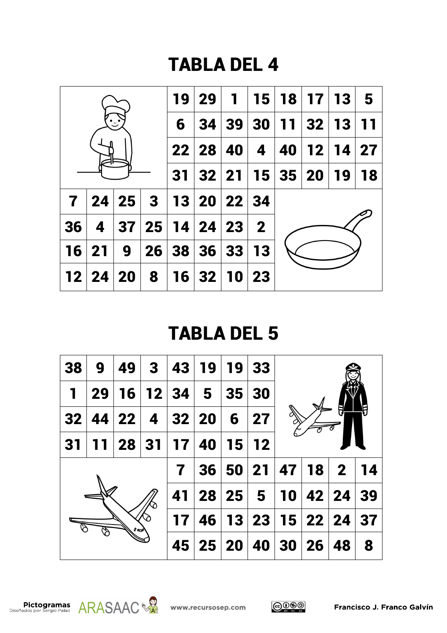

| 38           | 9  | 49    | 3                       | 43    | <b>19</b> |       | 19 33          |    |           |                |    |  |
|--------------|----|-------|-------------------------|-------|-----------|-------|----------------|----|-----------|----------------|----|--|
| $\mathbf{I}$ | 29 | 16    |                         | 12 34 | 5         | 35    | 30             |    |           |                |    |  |
| 32           |    | 44 22 | $\overline{\mathbf{4}}$ |       | 32 20     | 6     | 27             |    |           |                |    |  |
| 31           |    | 28    | 31                      | 17    | 40        | 15    | 12             |    |           |                |    |  |
|              |    |       |                         | 7     | 36        | 50 21 |                |    | 47 18     | 2 <sup>1</sup> | 14 |  |
|              |    |       |                         | 41    | 28        | 25    | $5^{\circ}$    | 10 |           | 42 24          | 39 |  |
| l a⊡è        |    |       |                         | 17    | 46        |       | 13 23 15 22 24 |    |           |                | 37 |  |
|              |    |       |                         | 45    |           | 25 20 | 40             | 30 | <b>26</b> | 48             | 8  |  |





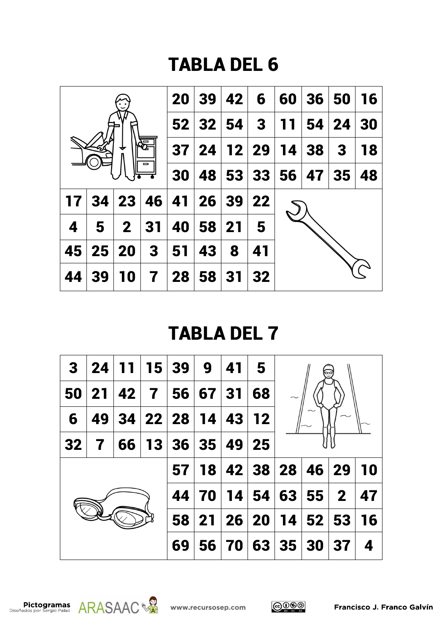

| 3  | 24 | 11   |              | 15 39    | 9  | 41        | 5              |       |       |              |           |  |
|----|----|------|--------------|----------|----|-----------|----------------|-------|-------|--------------|-----------|--|
| 50 | 21 | 42 7 |              | 56       | 67 | -31       | 68             |       |       |              |           |  |
| 6  | 49 |      | 34   22   28 |          | 14 | 43        | $12$           |       |       |              |           |  |
| 32 | 7  | 66   |              | 13 36 35 |    | 49        | 25             |       |       |              |           |  |
|    |    |      |              | 57       | 18 |           | 42 38 28 46 29 |       |       |              | <b>10</b> |  |
|    |    |      |              | 44       | 70 |           | 14 54          | 63    | 55    | $\mathbf{2}$ | 47        |  |
|    |    |      |              | 58       | 21 |           | 26 20 14       |       | 52 53 |              | 16        |  |
|    |    |      |              | 69       | 56 | <b>70</b> |                | 63 35 | 30    | 37           | 4         |  |





$$
\bigodot_{\mathbf{S}}\bigodot_{\mathbf{S}}\bigodot_{\mathbf{S}}\bigodot_{\mathbf{S}}
$$